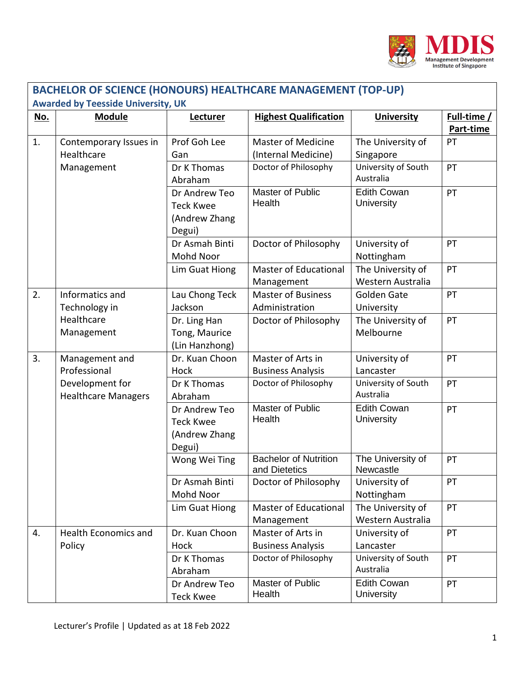

| <b>BACHELOR OF SCIENCE (HONOURS) HEALTHCARE MANAGEMENT (TOP-UP)</b><br><b>Awarded by Teesside University, UK</b> |                                                    |                                                              |                                                                          |                                                                    |                          |  |  |  |
|------------------------------------------------------------------------------------------------------------------|----------------------------------------------------|--------------------------------------------------------------|--------------------------------------------------------------------------|--------------------------------------------------------------------|--------------------------|--|--|--|
| <u>No.</u>                                                                                                       | <b>Module</b>                                      | Lecturer                                                     | <b>Highest Qualification</b>                                             | <b>University</b>                                                  | Full-time /<br>Part-time |  |  |  |
| 1.                                                                                                               | Contemporary Issues in<br>Healthcare<br>Management | Prof Goh Lee<br>Gan<br>Dr K Thomas<br>Abraham                | <b>Master of Medicine</b><br>(Internal Medicine)<br>Doctor of Philosophy | The University of<br>Singapore<br>University of South<br>Australia | PT<br>PT                 |  |  |  |
|                                                                                                                  |                                                    | Dr Andrew Teo<br><b>Teck Kwee</b><br>(Andrew Zhang<br>Degui) | Master of Public<br>Health                                               | <b>Edith Cowan</b><br>University                                   | PT                       |  |  |  |
|                                                                                                                  |                                                    | Dr Asmah Binti<br>Mohd Noor                                  | Doctor of Philosophy                                                     | University of<br>Nottingham                                        | PT                       |  |  |  |
|                                                                                                                  |                                                    | Lim Guat Hiong                                               | Master of Educational<br>Management                                      | The University of<br>Western Australia                             | PT                       |  |  |  |
| 2.                                                                                                               | Informatics and<br>Technology in                   | Lau Chong Teck<br>Jackson                                    | <b>Master of Business</b><br>Administration                              | Golden Gate<br>University                                          | PT                       |  |  |  |
|                                                                                                                  | Healthcare<br>Management                           | Dr. Ling Han<br>Tong, Maurice<br>(Lin Hanzhong)              | Doctor of Philosophy                                                     | The University of<br>Melbourne                                     | PT                       |  |  |  |
| 3.                                                                                                               | Management and<br>Professional                     | Dr. Kuan Choon<br>Hock                                       | Master of Arts in<br><b>Business Analysis</b>                            | University of<br>Lancaster                                         | PT                       |  |  |  |
|                                                                                                                  | Development for<br><b>Healthcare Managers</b>      | Dr K Thomas<br>Abraham                                       | Doctor of Philosophy                                                     | University of South<br>Australia                                   | PT                       |  |  |  |
|                                                                                                                  |                                                    | Dr Andrew Teo<br><b>Teck Kwee</b><br>(Andrew Zhang<br>Degui) | Master of Public<br>Health                                               | <b>Edith Cowan</b><br>University                                   | PT                       |  |  |  |
|                                                                                                                  |                                                    | Wong Wei Ting                                                | <b>Bachelor of Nutrition</b><br>and Dietetics                            | The University of<br>Newcastle                                     | PT                       |  |  |  |
|                                                                                                                  |                                                    | Dr Asmah Binti<br>Mohd Noor                                  | Doctor of Philosophy                                                     | University of<br>Nottingham                                        | PT                       |  |  |  |
|                                                                                                                  |                                                    | Lim Guat Hiong                                               | Master of Educational<br>Management                                      | The University of<br>Western Australia                             | PT                       |  |  |  |
| 4.                                                                                                               | <b>Health Economics and</b><br>Policy              | Dr. Kuan Choon<br>Hock                                       | Master of Arts in<br><b>Business Analysis</b>                            | University of<br>Lancaster                                         | PT                       |  |  |  |
|                                                                                                                  |                                                    | Dr K Thomas<br>Abraham                                       | Doctor of Philosophy                                                     | University of South<br>Australia                                   | PT                       |  |  |  |
|                                                                                                                  |                                                    | Dr Andrew Teo<br><b>Teck Kwee</b>                            | Master of Public<br>Health                                               | <b>Edith Cowan</b><br>University                                   | PT                       |  |  |  |